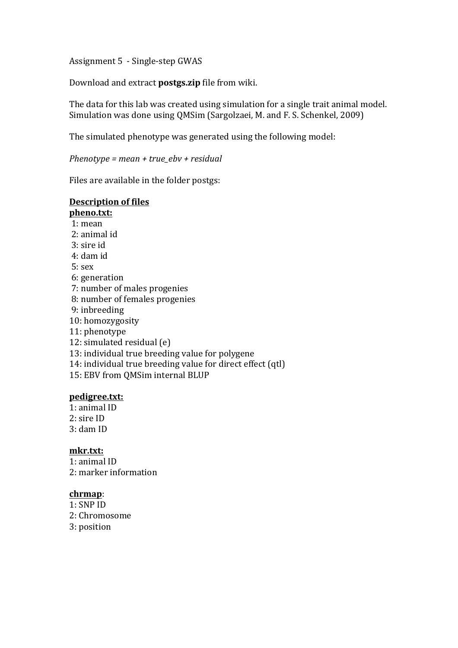Assignment 5 - Single-step GWAS

Download and extract **postgs.zip** file from wiki.

The data for this lab was created using simulation for a single trait animal model. Simulation was done using QMSim (Sargolzaei, M. and F. S. Schenkel, 2009)

The simulated phenotype was generated using the following model:

*Phenotype* = mean + true\_ebv + residual

Files are available in the folder postgs:

# **Description of files**

## **pheno.txt:**  $1:$  mean  $2:$  animal id 3: sire id 4: dam id  $5:$  sex 6: generation 7: number of males progenies 8: number of females progenies 9: inbreeding 10: homozygosity 11: phenotype 12: simulated residual  $(e)$ 13: individual true breeding value for polygene 14: individual true breeding value for direct effect (qtl) 15: EBV from OMSim internal BLUP

#### **pedigree.txt:**

1: animal ID  $2:$  sire ID 3: dam ID

### **mkr.txt:**

 $1:$  animal ID 2: marker information

#### **chrmap**:

 $1:$  SNP ID 2: Chromosome 3: position